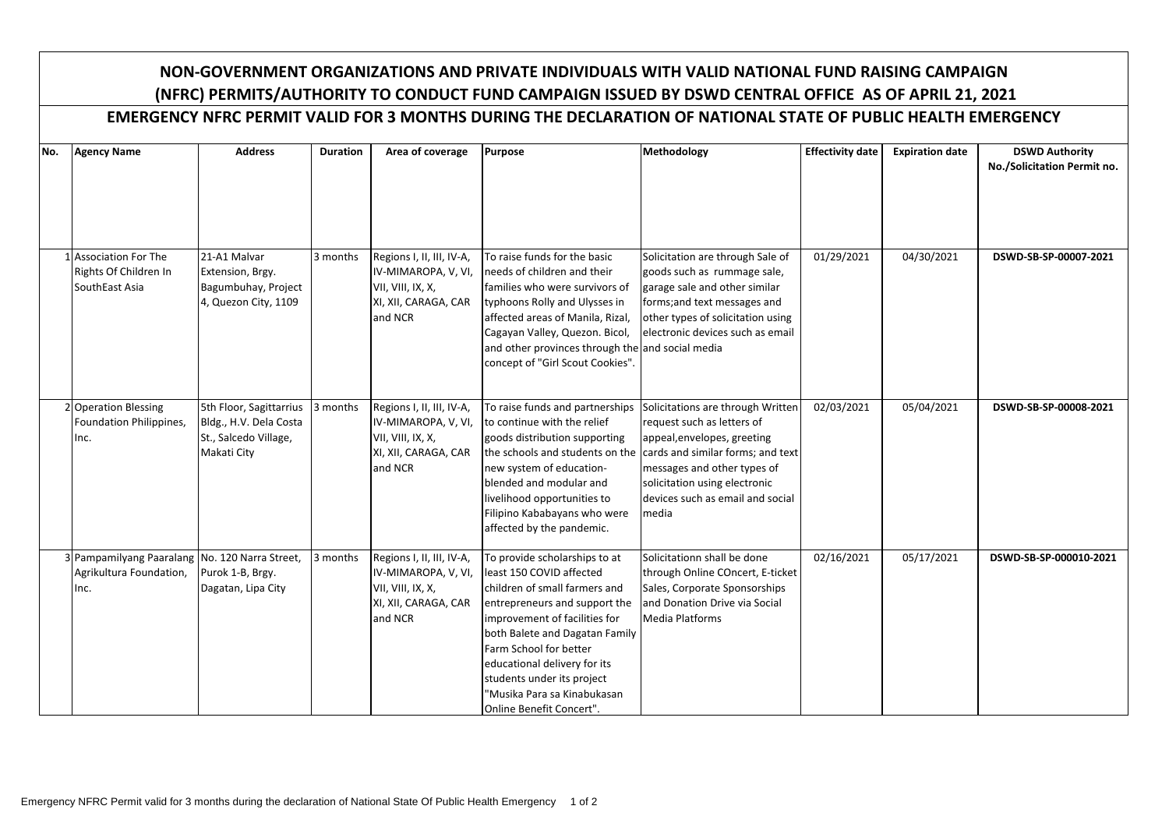## **NON-GOVERNMENT ORGANIZATIONS AND PRIVATE INDIVIDUALS WITH VALID NATIONAL FUND RAISING CAMPAIGN (NFRC) PERMITS/AUTHORITY TO CONDUCT FUND CAMPAIGN ISSUED BY DSWD CENTRAL OFFICE AS OF APRIL 21, 2021**

## **EMERGENCY NFRC PERMIT VALID FOR 3 MONTHS DURING THE DECLARATION OF NATIONAL STATE OF PUBLIC HEALTH EMERGENCY**

| No. | <b>Agency Name</b>                             | <b>Address</b>          | <b>Duration</b> | Area of coverage          | <b>Purpose</b>                                              | Methodology                                                       | <b>Effectivity date</b> | <b>Expiration date</b> | <b>DSWD Authority</b>       |
|-----|------------------------------------------------|-------------------------|-----------------|---------------------------|-------------------------------------------------------------|-------------------------------------------------------------------|-------------------------|------------------------|-----------------------------|
|     |                                                |                         |                 |                           |                                                             |                                                                   |                         |                        | No./Solicitation Permit no. |
|     |                                                |                         |                 |                           |                                                             |                                                                   |                         |                        |                             |
|     |                                                |                         |                 |                           |                                                             |                                                                   |                         |                        |                             |
|     |                                                |                         |                 |                           |                                                             |                                                                   |                         |                        |                             |
|     |                                                |                         |                 |                           |                                                             |                                                                   |                         |                        |                             |
|     | 1 Association For The                          | 21-A1 Malvar            | 3 months        | Regions I, II, III, IV-A, | To raise funds for the basic                                | Solicitation are through Sale of                                  | 01/29/2021              | 04/30/2021             | DSWD-SB-SP-00007-2021       |
|     | Rights Of Children In                          | Extension, Brgy.        |                 | IV-MIMAROPA, V, VI,       | needs of children and their                                 | goods such as rummage sale,                                       |                         |                        |                             |
|     | SouthEast Asia                                 | Bagumbuhay, Project     |                 | VII, VIII, IX, X,         | families who were survivors of                              | garage sale and other similar                                     |                         |                        |                             |
|     |                                                | 4, Quezon City, 1109    |                 | XI, XII, CARAGA, CAR      | typhoons Rolly and Ulysses in                               | forms; and text messages and                                      |                         |                        |                             |
|     |                                                |                         |                 | and NCR                   | affected areas of Manila, Rizal,                            | other types of solicitation using                                 |                         |                        |                             |
|     |                                                |                         |                 |                           | Cagayan Valley, Quezon. Bicol,                              | electronic devices such as email                                  |                         |                        |                             |
|     |                                                |                         |                 |                           | and other provinces through the and social media            |                                                                   |                         |                        |                             |
|     |                                                |                         |                 |                           | concept of "Girl Scout Cookies".                            |                                                                   |                         |                        |                             |
|     |                                                |                         |                 |                           |                                                             |                                                                   |                         |                        |                             |
|     |                                                |                         |                 |                           |                                                             |                                                                   |                         |                        |                             |
|     | 2 Operation Blessing                           | 5th Floor, Sagittarrius | 3 months        | Regions I, II, III, IV-A, | To raise funds and partnerships                             | Solicitations are through Written                                 | 02/03/2021              | 05/04/2021             | DSWD-SB-SP-00008-2021       |
|     | Foundation Philippines,                        | Bldg., H.V. Dela Costa  |                 | IV-MIMAROPA, V, VI,       | to continue with the relief                                 | request such as letters of                                        |                         |                        |                             |
|     | Inc.                                           | St., Salcedo Village,   |                 | VII, VIII, IX, X,         | goods distribution supporting                               | appeal, envelopes, greeting                                       |                         |                        |                             |
|     |                                                | Makati City             |                 | XI, XII, CARAGA, CAR      | the schools and students on the                             | cards and similar forms; and text                                 |                         |                        |                             |
|     |                                                |                         |                 | and NCR                   | new system of education-<br>blended and modular and         | messages and other types of                                       |                         |                        |                             |
|     |                                                |                         |                 |                           |                                                             | solicitation using electronic<br>devices such as email and social |                         |                        |                             |
|     |                                                |                         |                 |                           | livelihood opportunities to<br>Filipino Kababayans who were | media                                                             |                         |                        |                             |
|     |                                                |                         |                 |                           | affected by the pandemic.                                   |                                                                   |                         |                        |                             |
|     |                                                |                         |                 |                           |                                                             |                                                                   |                         |                        |                             |
|     | 3 Pampamilyang Paaralang No. 120 Narra Street, |                         | 3 months        | Regions I, II, III, IV-A, | To provide scholarships to at                               | Solicitationn shall be done                                       | 02/16/2021              | 05/17/2021             | DSWD-SB-SP-000010-2021      |
|     | Agrikultura Foundation,                        | Purok 1-B, Brgy.        |                 | IV-MIMAROPA, V, VI,       | least 150 COVID affected                                    | through Online COncert, E-ticket                                  |                         |                        |                             |
|     | Inc.                                           | Dagatan, Lipa City      |                 | VII, VIII, IX, X,         | children of small farmers and                               | Sales, Corporate Sponsorships                                     |                         |                        |                             |
|     |                                                |                         |                 | XI, XII, CARAGA, CAR      | entrepreneurs and support the                               | and Donation Drive via Social                                     |                         |                        |                             |
|     |                                                |                         |                 | and NCR                   | improvement of facilities for                               | <b>Media Platforms</b>                                            |                         |                        |                             |
|     |                                                |                         |                 |                           | both Balete and Dagatan Family                              |                                                                   |                         |                        |                             |
|     |                                                |                         |                 |                           | Farm School for better                                      |                                                                   |                         |                        |                             |
|     |                                                |                         |                 |                           | educational delivery for its                                |                                                                   |                         |                        |                             |
|     |                                                |                         |                 |                           | students under its project                                  |                                                                   |                         |                        |                             |
|     |                                                |                         |                 |                           | "Musika Para sa Kinabukasan                                 |                                                                   |                         |                        |                             |
|     |                                                |                         |                 |                           | Online Benefit Concert".                                    |                                                                   |                         |                        |                             |